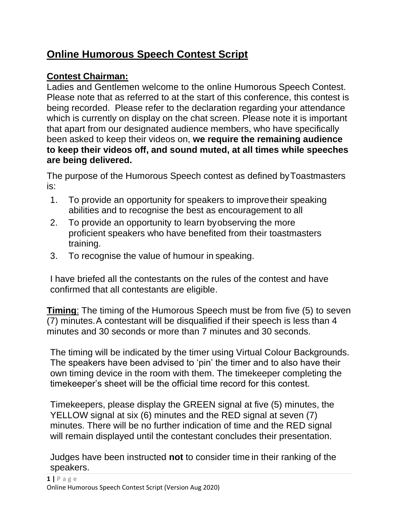# **Online Humorous Speech Contest Script**

## **Contest Chairman:**

Ladies and Gentlemen welcome to the online Humorous Speech Contest. Please note that as referred to at the start of this conference, this contest is being recorded. Please refer to the declaration regarding your attendance which is currently on display on the chat screen. Please note it is important that apart from our designated audience members, who have specifically been asked to keep their videos on, **we require the remaining audience to keep their videos off, and sound muted, at all times while speeches are being delivered.**

The purpose of the Humorous Speech contest as defined byToastmasters is:

- 1. To provide an opportunity for speakers to improvetheir speaking abilities and to recognise the best as encouragement to all
- 2. To provide an opportunity to learn byobserving the more proficient speakers who have benefited from their toastmasters training.
- 3. To recognise the value of humour in speaking.

I have briefed all the contestants on the rules of the contest and have confirmed that all contestants are eligible.

**Timing:** The timing of the Humorous Speech must be from five (5) to seven (7) minutes.A contestant will be disqualified if their speech is less than 4 minutes and 30 seconds or more than 7 minutes and 30 seconds.

The timing will be indicated by the timer using Virtual Colour Backgrounds. The speakers have been advised to 'pin' the timer and to also have their own timing device in the room with them. The timekeeper completing the timekeeper's sheet will be the official time record for this contest.

Timekeepers, please display the GREEN signal at five (5) minutes, the YELLOW signal at six (6) minutes and the RED signal at seven (7) minutes. There will be no further indication of time and the RED signal will remain displayed until the contestant concludes their presentation.

Judges have been instructed **not** to consider time in their ranking of the speakers.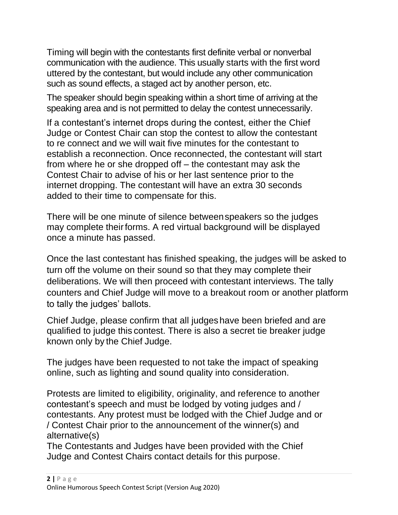Timing will begin with the contestants first definite verbal or nonverbal communication with the audience. This usually starts with the first word uttered by the contestant, but would include any other communication such as sound effects, a staged act by another person, etc.

The speaker should begin speaking within a short time of arriving at the speaking area and is not permitted to delay the contest unnecessarily.

If a contestant's internet drops during the contest, either the Chief Judge or Contest Chair can stop the contest to allow the contestant to re connect and we will wait five minutes for the contestant to establish a reconnection. Once reconnected, the contestant will start from where he or she dropped off – the contestant may ask the Contest Chair to advise of his or her last sentence prior to the internet dropping. The contestant will have an extra 30 seconds added to their time to compensate for this.

There will be one minute of silence betweenspeakers so the judges may complete their forms. A red virtual background will be displayed once a minute has passed.

Once the last contestant has finished speaking, the judges will be asked to turn off the volume on their sound so that they may complete their deliberations. We will then proceed with contestant interviews. The tally counters and Chief Judge will move to a breakout room or another platform to tally the judges' ballots.

Chief Judge, please confirm that all judgeshave been briefed and are qualified to judge this contest. There is also a secret tie breaker judge known only by the Chief Judge.

The judges have been requested to not take the impact of speaking online, such as lighting and sound quality into consideration.

Protests are limited to eligibility, originality, and reference to another contestant's speech and must be lodged by voting judges and / contestants. Any protest must be lodged with the Chief Judge and or / Contest Chair prior to the announcement of the winner(s) and alternative(s)

The Contestants and Judges have been provided with the Chief Judge and Contest Chairs contact details for this purpose.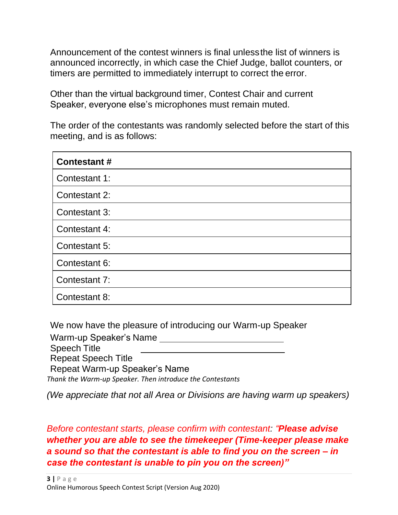Announcement of the contest winners is final unlessthe list of winners is announced incorrectly, in which case the Chief Judge, ballot counters, or timers are permitted to immediately interrupt to correct the error.

Other than the virtual background timer, Contest Chair and current Speaker, everyone else's microphones must remain muted.

The order of the contestants was randomly selected before the start of this meeting, and is as follows:

| <b>Contestant#</b> |
|--------------------|
| Contestant 1:      |
| Contestant 2:      |
| Contestant 3:      |
| Contestant 4:      |
| Contestant 5:      |
| Contestant 6:      |
| Contestant 7:      |
| Contestant 8:      |

We now have the pleasure of introducing our Warm-up Speaker

Warm-up Speaker's Name Speech Title Repeat Speech Title Repeat Warm-up Speaker's Name *Thank the Warm-up Speaker. Then introduce the Contestants*

*(We appreciate that not all Area or Divisions are having warm up speakers)*

*Before contestant starts, please confirm with contestant: "Please advise whether you are able to see the timekeeper (Time-keeper please make a sound so that the contestant is able to find you on the screen – in case the contestant is unable to pin you on the screen)"*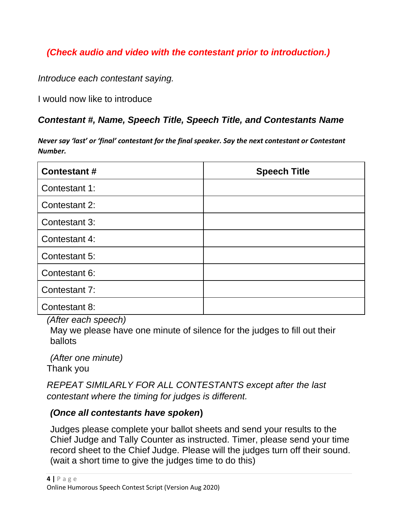## *(Check audio and video with the contestant prior to introduction.)*

*Introduce each contestant saying.*

I would now like to introduce

### *Contestant #, Name, Speech Title, Speech Title, and Contestants Name*

*Never say 'last' or 'final' contestant for the final speaker. Say the next contestant or Contestant Number.*

| <b>Contestant #</b> | <b>Speech Title</b> |
|---------------------|---------------------|
| Contestant 1:       |                     |
| Contestant 2:       |                     |
| Contestant 3:       |                     |
| Contestant 4:       |                     |
| Contestant 5:       |                     |
| Contestant 6:       |                     |
| Contestant 7:       |                     |
| Contestant 8:       |                     |

*(After each speech)*

May we please have one minute of silence for the judges to fill out their ballots

*(After one minute)* Thank you

*REPEAT SIMILARLY FOR ALL CONTESTANTS except after the last contestant where the timing for judges is different.*

### *(Once all contestants have spoken***)**

Judges please complete your ballot sheets and send your results to the Chief Judge and Tally Counter as instructed. Timer, please send your time record sheet to the Chief Judge. Please will the judges turn off their sound. (wait a short time to give the judges time to do this)